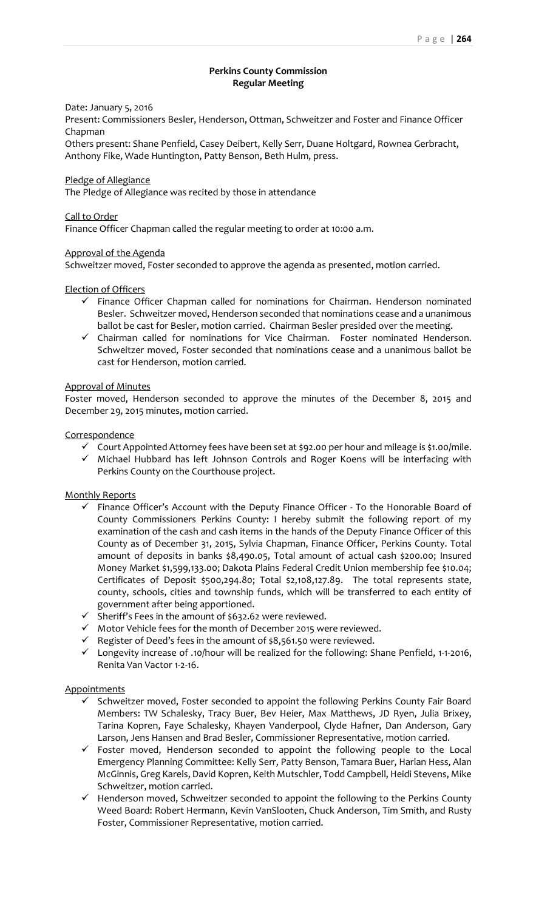# **Perkins County Commission Regular Meeting**

#### Date: January 5, 2016

Present: Commissioners Besler, Henderson, Ottman, Schweitzer and Foster and Finance Officer Chapman

Others present: Shane Penfield, Casey Deibert, Kelly Serr, Duane Holtgard, Rownea Gerbracht, Anthony Fike, Wade Huntington, Patty Benson, Beth Hulm, press.

#### Pledge of Allegiance

The Pledge of Allegiance was recited by those in attendance

# Call to Order

Finance Officer Chapman called the regular meeting to order at 10:00 a.m.

#### Approval of the Agenda

Schweitzer moved, Foster seconded to approve the agenda as presented, motion carried.

## Election of Officers

- $\checkmark$  Finance Officer Chapman called for nominations for Chairman. Henderson nominated Besler. Schweitzer moved, Henderson seconded that nominations cease and a unanimous ballot be cast for Besler, motion carried. Chairman Besler presided over the meeting.
- $\checkmark$  Chairman called for nominations for Vice Chairman. Foster nominated Henderson. Schweitzer moved, Foster seconded that nominations cease and a unanimous ballot be cast for Henderson, motion carried.

# Approval of Minutes

Foster moved, Henderson seconded to approve the minutes of the December 8, 2015 and December 29, 2015 minutes, motion carried.

**Correspondence** 

- $\checkmark$  Court Appointed Attorney fees have been set at \$92.00 per hour and mileage is \$1.00/mile.
- $\checkmark$  Michael Hubbard has left Johnson Controls and Roger Koens will be interfacing with Perkins County on the Courthouse project.

# Monthly Reports

- $\checkmark$  Finance Officer's Account with the Deputy Finance Officer To the Honorable Board of County Commissioners Perkins County: I hereby submit the following report of my examination of the cash and cash items in the hands of the Deputy Finance Officer of this County as of December 31, 2015, Sylvia Chapman, Finance Officer, Perkins County. Total amount of deposits in banks \$8,490.05, Total amount of actual cash \$200.00; Insured Money Market \$1,599,133.00; Dakota Plains Federal Credit Union membership fee \$10.04; Certificates of Deposit \$500,294.80; Total \$2,108,127.89. The total represents state, county, schools, cities and township funds, which will be transferred to each entity of government after being apportioned.
- $\checkmark$  Sheriff's Fees in the amount of \$632.62 were reviewed.
- $\checkmark$  Motor Vehicle fees for the month of December 2015 were reviewed.
- $\checkmark$  Register of Deed's fees in the amount of \$8,561.50 were reviewed.
- $\checkmark$  Longevity increase of .10/hour will be realized for the following: Shane Penfield, 1-1-2016, Renita Van Vactor 1-2-16.

# **Appointments**

- $\checkmark$  Schweitzer moved, Foster seconded to appoint the following Perkins County Fair Board Members: TW Schalesky, Tracy Buer, Bev Heier, Max Matthews, JD Ryen, Julia Brixey, Tarina Kopren, Faye Schalesky, Khayen Vanderpool, Clyde Hafner, Dan Anderson, Gary Larson, Jens Hansen and Brad Besler, Commissioner Representative, motion carried.
- $\checkmark$  Foster moved, Henderson seconded to appoint the following people to the Local Emergency Planning Committee: Kelly Serr, Patty Benson, Tamara Buer, Harlan Hess, Alan McGinnis, Greg Karels, David Kopren, Keith Mutschler, Todd Campbell, Heidi Stevens, Mike Schweitzer, motion carried.
- $\checkmark$  Henderson moved, Schweitzer seconded to appoint the following to the Perkins County Weed Board: Robert Hermann, Kevin VanSlooten, Chuck Anderson, Tim Smith, and Rusty Foster, Commissioner Representative, motion carried.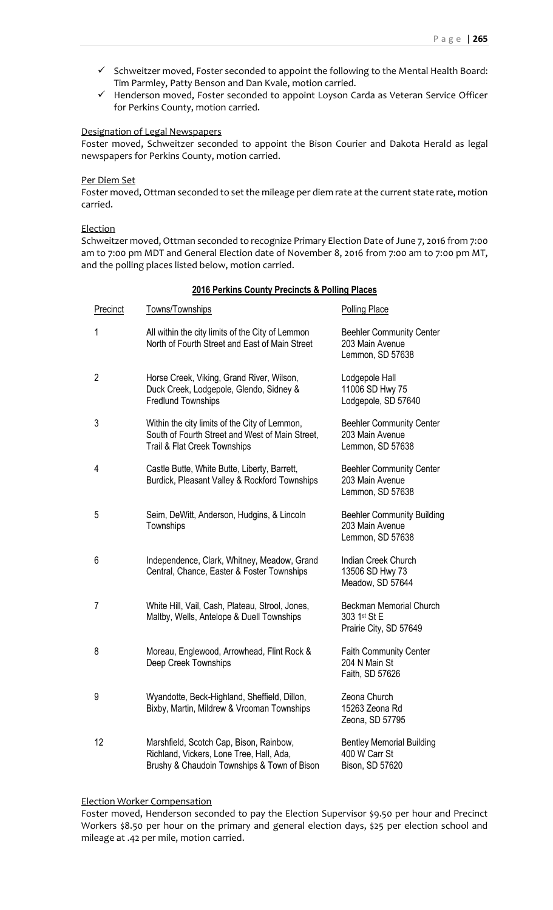- $\checkmark$  Schweitzer moved, Foster seconded to appoint the following to the Mental Health Board: Tim Parmley, Patty Benson and Dan Kvale, motion carried.
- $\checkmark$  Henderson moved, Foster seconded to appoint Loyson Carda as Veteran Service Officer for Perkins County, motion carried.

#### Designation of Legal Newspapers

Foster moved, Schweitzer seconded to appoint the Bison Courier and Dakota Herald as legal newspapers for Perkins County, motion carried.

# Per Diem Set

Foster moved, Ottman seconded to set the mileage per diem rate at the current state rate, motion carried.

# Election

Schweitzer moved, Ottman seconded to recognize Primary Election Date of June 7, 2016 from 7:00 am to 7:00 pm MDT and General Election date of November 8, 2016 from 7:00 am to 7:00 pm MT, and the polling places listed below, motion carried.

| Precinct       | Towns/Townships                                                                                                                    | <b>Polling Place</b>                                                     |
|----------------|------------------------------------------------------------------------------------------------------------------------------------|--------------------------------------------------------------------------|
| 1              | All within the city limits of the City of Lemmon<br>North of Fourth Street and East of Main Street                                 | <b>Beehler Community Center</b><br>203 Main Avenue<br>Lemmon, SD 57638   |
| $\overline{2}$ | Horse Creek, Viking, Grand River, Wilson,<br>Duck Creek, Lodgepole, Glendo, Sidney &<br><b>Fredlund Townships</b>                  | Lodgepole Hall<br>11006 SD Hwy 75<br>Lodgepole, SD 57640                 |
| 3              | Within the city limits of the City of Lemmon,<br>South of Fourth Street and West of Main Street,<br>Trail & Flat Creek Townships   | <b>Beehler Community Center</b><br>203 Main Avenue<br>Lemmon, SD 57638   |
| 4              | Castle Butte, White Butte, Liberty, Barrett,<br>Burdick, Pleasant Valley & Rockford Townships                                      | <b>Beehler Community Center</b><br>203 Main Avenue<br>Lemmon, SD 57638   |
| 5              | Seim, DeWitt, Anderson, Hudgins, & Lincoln<br>Townships                                                                            | <b>Beehler Community Building</b><br>203 Main Avenue<br>Lemmon, SD 57638 |
| 6              | Independence, Clark, Whitney, Meadow, Grand<br>Central, Chance, Easter & Foster Townships                                          | Indian Creek Church<br>13506 SD Hwy 73<br>Meadow, SD 57644               |
| 7              | White Hill, Vail, Cash, Plateau, Strool, Jones,<br>Maltby, Wells, Antelope & Duell Townships                                       | <b>Beckman Memorial Church</b><br>303 1st St E<br>Prairie City, SD 57649 |
| 8              | Moreau, Englewood, Arrowhead, Flint Rock &<br>Deep Creek Townships                                                                 | <b>Faith Community Center</b><br>204 N Main St<br>Faith, SD 57626        |
| 9              | Wyandotte, Beck-Highland, Sheffield, Dillon,<br>Bixby, Martin, Mildrew & Vrooman Townships                                         | Zeona Church<br>15263 Zeona Rd<br>Zeona, SD 57795                        |
| 12             | Marshfield, Scotch Cap, Bison, Rainbow,<br>Richland, Vickers, Lone Tree, Hall, Ada,<br>Brushy & Chaudoin Townships & Town of Bison | <b>Bentley Memorial Building</b><br>400 W Carr St<br>Bison, SD 57620     |

# **2016 Perkins County Precincts & Polling Places**

#### Election Worker Compensation

Foster moved, Henderson seconded to pay the Election Supervisor \$9.50 per hour and Precinct Workers \$8.50 per hour on the primary and general election days, \$25 per election school and mileage at .42 per mile, motion carried.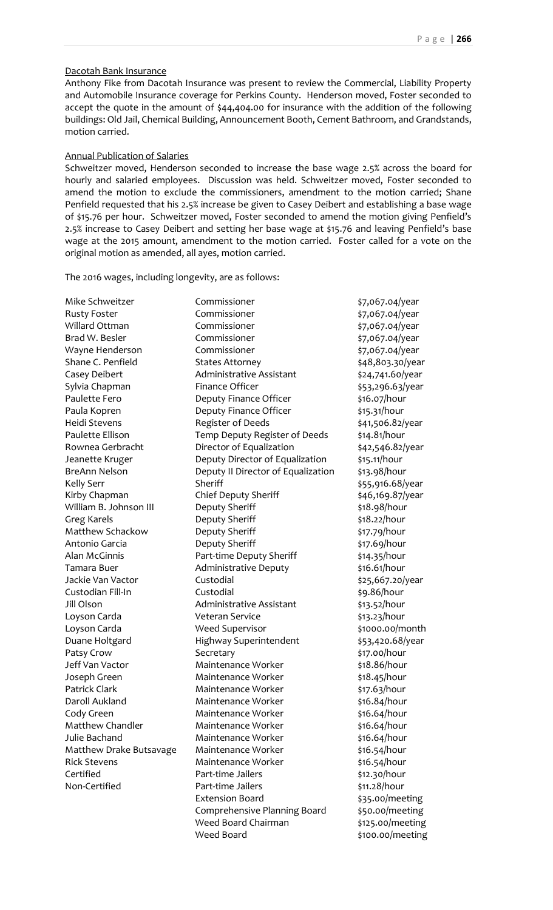## Dacotah Bank Insurance

Anthony Fike from Dacotah Insurance was present to review the Commercial, Liability Property and Automobile Insurance coverage for Perkins County. Henderson moved, Foster seconded to accept the quote in the amount of \$44,404.00 for insurance with the addition of the following buildings: Old Jail, Chemical Building, Announcement Booth, Cement Bathroom, and Grandstands, motion carried.

# Annual Publication of Salaries

Schweitzer moved, Henderson seconded to increase the base wage 2.5% across the board for hourly and salaried employees. Discussion was held. Schweitzer moved, Foster seconded to amend the motion to exclude the commissioners, amendment to the motion carried; Shane Penfield requested that his 2.5% increase be given to Casey Deibert and establishing a base wage of \$15.76 per hour. Schweitzer moved, Foster seconded to amend the motion giving Penfield's 2.5% increase to Casey Deibert and setting her base wage at \$15.76 and leaving Penfield's base wage at the 2015 amount, amendment to the motion carried. Foster called for a vote on the original motion as amended, all ayes, motion carried.

The 2016 wages, including longevity, are as follows:

Mike Schweitzer **Commissioner Commissioner** \$7,067.04/year Rusty Foster **Commissioner Example 2018** S7,067.04/year

Willard Ottman Commissioner **\$7,067.04/year** Brad W. Besler **Commissioner Example 2018** S7,067.04/year Wayne Henderson Commissioner **6000 Commissioner** \$7,067.04/year Shane C. Penfield States Attorney Shane C. Penfield States Attorney Casey Deibert **Administrative Assistant** \$24,741.60/year Sylvia Chapman Finance Officer **Finance Officer** \$53,296.63/year Paulette Fero **Deputy Finance Officer** \$16.07/hour Paula Kopren **Deputy Finance Officer** \$15.31/hour Heidi Stevens **Register of Deeds** \$41,506.82/year Paulette Ellison Temp Deputy Register of Deeds \$14.81/hour Rownea Gerbracht Director of Equalization \$42,546.82/year Jeanette Kruger **Deputy Director of Equalization** \$15.11/hour BreAnn Nelson **Deputy II Director of Equalization** \$13.98/hour Kelly Serr Sheriff \$55,916.68/year Kirby Chapman **Chief Deputy Sheriff** \$46,169.87/year William B. Johnson III Deputy Sheriff **1998**/hour Greg Karels **Show Shere** Deputy Sheriff **19.22-19.22-19.22** Assessment Republic Assessment Republic Assessment R Matthew Schackow Deputy Sheriff  $\frac{1}{2}$  str.79/hour Antonio Garcia **1888** Deputy Sheriff **1888** 17.69/hour Alan McGinnis **Part-time Deputy Sheriff** \$14.35/hour Tamara Buer **Administrative Deputy** \$16.61/hour Jackie Van Vactor **Custodial** 525,667.20/year Custodian Fill-In Custodial \$9.86/hour Jill Olson **Administrative Assistant** \$13.52/hour Loyson Carda **Veteran Service 12.23/hour** Loyson Carda **Weed Supervisor** \$1000.00/month Duane Holtgard **Highway Superintendent** \$53,420.68/year Patsy Crow Secretary Secretary \$17.00/hour Jeff Van Vactor Maintenance Worker \$18.86/hour Joseph Green Maintenance Worker \$18.45/hour Patrick Clark Maintenance Worker \$17.63/hour Daroll Aukland Maintenance Worker \$16.84/hour Cody Green Maintenance Worker \$16.64/hour Matthew Chandler Maintenance Worker 516.64/hour Julie Bachand Maintenance Worker \$16.64/hour Matthew Drake Butsavage Maintenance Worker \$16.54/hour Rick Stevens Maintenance Worker \$16.54/hour Certified **Part-time Jailers Brace Accord Accord Part-time Jailers \$12.30/hour** Non-Certified Part-time Jailers \$11.28/hour Extension Board \$35.00/meeting Comprehensive Planning Board \$50.00/meeting Weed Board Chairman \$125.00/meeting Weed Board **\$100.00**/meeting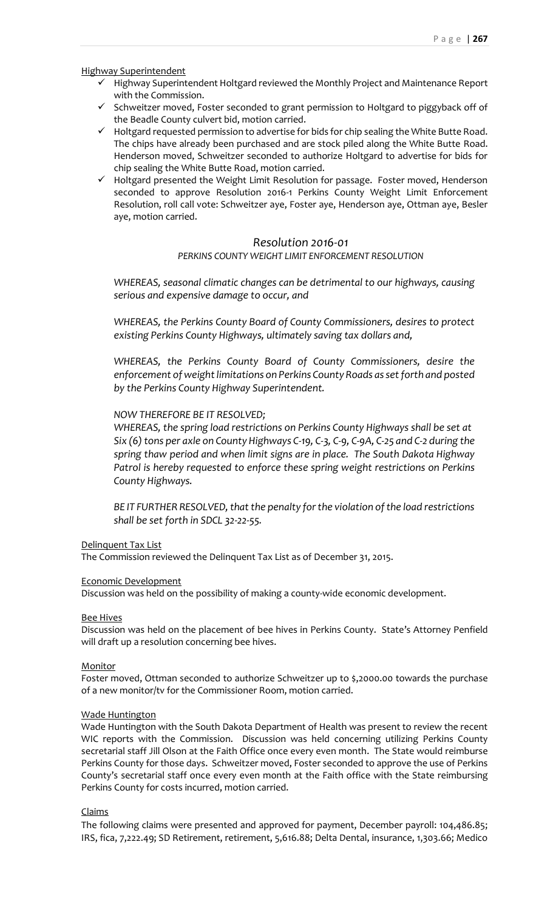Highway Superintendent

- $\checkmark$  Highway Superintendent Holtgard reviewed the Monthly Project and Maintenance Report with the Commission.
- $\checkmark$  Schweitzer moved, Foster seconded to grant permission to Holtgard to piggyback off of the Beadle County culvert bid, motion carried.
- $\checkmark$  Holtgard requested permission to advertise for bids for chip sealing the White Butte Road. The chips have already been purchased and are stock piled along the White Butte Road. Henderson moved, Schweitzer seconded to authorize Holtgard to advertise for bids for chip sealing the White Butte Road, motion carried.
- $\checkmark$  Holtgard presented the Weight Limit Resolution for passage. Foster moved, Henderson seconded to approve Resolution 2016-1 Perkins County Weight Limit Enforcement Resolution, roll call vote: Schweitzer aye, Foster aye, Henderson aye, Ottman aye, Besler aye, motion carried.

# *Resolution 2016-01*

# *PERKINS COUNTY WEIGHT LIMIT ENFORCEMENT RESOLUTION*

*WHEREAS, seasonal climatic changes can be detrimental to our highways, causing serious and expensive damage to occur, and*

*WHEREAS, the Perkins County Board of County Commissioners, desires to protect existing Perkins County Highways, ultimately saving tax dollars and,*

*WHEREAS, the Perkins County Board of County Commissioners, desire the enforcement of weight limitations on Perkins County Roads as set forth and posted by the Perkins County Highway Superintendent.*

# *NOW THEREFORE BE IT RESOLVED;*

*WHEREAS, the spring load restrictions on Perkins County Highways shall be set at Six (6) tons per axle on County Highways C-19, C-3, C-9, C-9A, C-25 and C-2 during the spring thaw period and when limit signs are in place. The South Dakota Highway*  Patrol is hereby requested to enforce these spring weight restrictions on Perkins *County Highways.*

*BE IT FURTHER RESOLVED, that the penalty for the violation of the load restrictions shall be set forth in SDCL 32-22-55.*

#### Delinquent Tax List

The Commission reviewed the Delinquent Tax List as of December 31, 2015.

#### Economic Development

Discussion was held on the possibility of making a county-wide economic development.

#### Bee Hives

Discussion was held on the placement of bee hives in Perkins County. State's Attorney Penfield will draft up a resolution concerning bee hives.

#### Monitor

Foster moved, Ottman seconded to authorize Schweitzer up to \$,2000.00 towards the purchase of a new monitor/tv for the Commissioner Room, motion carried.

#### Wade Huntington

Wade Huntington with the South Dakota Department of Health was present to review the recent WIC reports with the Commission. Discussion was held concerning utilizing Perkins County secretarial staff Jill Olson at the Faith Office once every even month. The State would reimburse Perkins County for those days. Schweitzer moved, Foster seconded to approve the use of Perkins County's secretarial staff once every even month at the Faith office with the State reimbursing Perkins County for costs incurred, motion carried.

# Claims

The following claims were presented and approved for payment, December payroll: 104,486.85; IRS, fica, 7,222.49; SD Retirement, retirement, 5,616.88; Delta Dental, insurance, 1,303.66; Medico